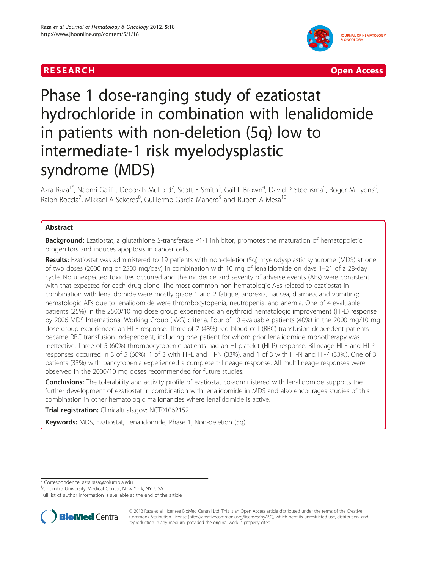



# Phase 1 dose-ranging study of ezatiostat hydrochloride in combination with lenalidomide in patients with non-deletion (5q) low to intermediate-1 risk myelodysplastic syndrome (MDS)

Azra Raza<sup>1\*</sup>, Naomi Galili<sup>1</sup>, Deborah Mulford<sup>2</sup>, Scott E Smith<sup>3</sup>, Gail L Brown<sup>4</sup>, David P Steensma<sup>5</sup>, Roger M Lyons<sup>6</sup> , Ralph Boccia<sup>7</sup>, Mikkael A Sekeres<sup>8</sup>, Guillermo Garcia-Manero<sup>9</sup> and Ruben A Mesa<sup>10</sup>

# Abstract

**Background:** Ezatiostat, a glutathione S-transferase P1-1 inhibitor, promotes the maturation of hematopoietic progenitors and induces apoptosis in cancer cells.

Results: Ezatiostat was administered to 19 patients with non-deletion(5q) myelodysplastic syndrome (MDS) at one of two doses (2000 mg or 2500 mg/day) in combination with 10 mg of lenalidomide on days 1–21 of a 28-day cycle. No unexpected toxicities occurred and the incidence and severity of adverse events (AEs) were consistent with that expected for each drug alone. The most common non-hematologic AEs related to ezatiostat in combination with lenalidomide were mostly grade 1 and 2 fatigue, anorexia, nausea, diarrhea, and vomiting; hematologic AEs due to lenalidomide were thrombocytopenia, neutropenia, and anemia. One of 4 evaluable patients (25%) in the 2500/10 mg dose group experienced an erythroid hematologic improvement (HI-E) response by 2006 MDS International Working Group (IWG) criteria. Four of 10 evaluable patients (40%) in the 2000 mg/10 mg dose group experienced an HI-E response. Three of 7 (43%) red blood cell (RBC) transfusion-dependent patients became RBC transfusion independent, including one patient for whom prior lenalidomide monotherapy was ineffective. Three of 5 (60%) thrombocytopenic patients had an HI-platelet (HI-P) response. Bilineage HI-E and HI-P responses occurred in 3 of 5 (60%), 1 of 3 with HI-E and HI-N (33%), and 1 of 3 with HI-N and HI-P (33%). One of 3 patients (33%) with pancytopenia experienced a complete trilineage response. All multilineage responses were observed in the 2000/10 mg doses recommended for future studies.

Conclusions: The tolerability and activity profile of ezatiostat co-administered with lenalidomide supports the further development of ezatiostat in combination with lenalidomide in MDS and also encourages studies of this combination in other hematologic malignancies where lenalidomide is active.

Trial registration: Clinicaltrials.gov: NCT01062152

Keywords: MDS, Ezatiostat, Lenalidomide, Phase 1, Non-deletion (5q)

\* Correspondence: [azra.raza@columbia.edu](mailto:azra.raza@columbia.edu) <sup>1</sup>

<sup>1</sup>Columbia University Medical Center, New York, NY, USA

Full list of author information is available at the end of the article



© 2012 Raza et al.; licensee BioMed Central Ltd. This is an Open Access article distributed under the terms of the Creative Commons Attribution License (http://creativecommons.org/licenses/by/2.0), which permits unrestricted use, distribution, and reproduction in any medium, provided the original work is properly cited.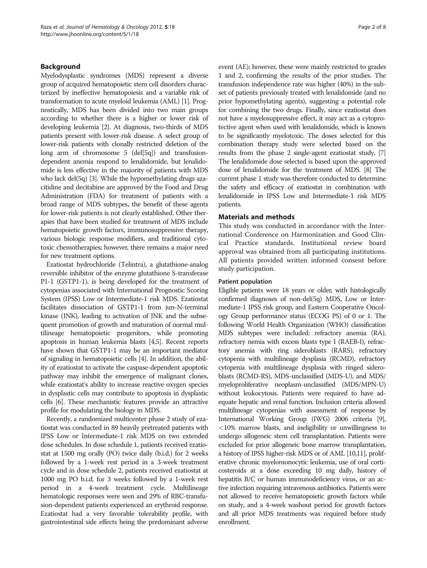# Background

Myelodysplastic syndromes (MDS) represent a diverse group of acquired hematopoietic stem cell disorders characterized by ineffective hematopoiesis and a variable risk of transformation to acute myeloid leukemia (AML) [\[1](#page-7-0)]. Prognostically, MDS has been divided into two main groups according to whether there is a higher or lower risk of developing leukemia [\[2](#page-7-0)]. At diagnosis, two-thirds of MDS patients present with lower-risk disease. A select group of lower-risk patients with clonally restricted deletion of the long arm of chromosome 5 (del[5q]) and transfusiondependent anemia respond to lenalidomide, but lenalidomide is less effective in the majority of patients with MDS who lack del(5q) [[3](#page-7-0)]. While the hypomethylating drugs azacitidine and decitabine are approved by the Food and Drug Administration (FDA) for treatment of patients with a broad range of MDS subtypes, the benefit of these agents for lower-risk patients is not clearly established. Other therapies that have been studied for treatment of MDS include hematopoietic growth factors, immunosuppressive therapy, various biologic response modifiers, and traditional cytotoxic chemotherapies; however, there remains a major need for new treatment options.

Ezatiostat hydrochloride (Telintra), a glutathione-analog reversible inhibitor of the enzyme glutathione S-transferase P1-1 (GSTP1-1), is being developed for the treatment of cytopenias associated with International Prognostic Scoring System (IPSS) Low or Intermediate-1 risk MDS. Ezatiostat facilitates dissociation of GSTP1-1 from jun-N-terminal kinase (JNK), leading to activation of JNK and the subsequent promotion of growth and maturation of normal multilineage hematopoietic progenitors, while promoting apoptosis in human leukemia blasts [[4,5](#page-7-0)]. Recent reports have shown that GSTP1-1 may be an important mediator of signaling in hematopoietic cells [[4](#page-7-0)]. In addition, the ability of ezatiostat to activate the caspase-dependent apoptotic pathway may inhibit the emergence of malignant clones, while ezatiostat's ability to increase reactive oxygen species in dysplastic cells may contribute to apoptosis in dysplastic cells [[6](#page-7-0)]. These mechanistic features provide an attractive profile for modulating the biology in MDS.

Recently, a randomized multicenter phase 2 study of ezatiostat was conducted in 89 heavily pretreated patients with IPSS Low or Intermediate-1 risk MDS on two extended dose schedules. In dose schedule 1, patients received ezatiostat at 1500 mg orally (PO) twice daily (b.i.d.) for 2 weeks followed by a 1-week rest period in a 3-week treatment cycle and in dose schedule 2, patients received ezatiostat at 1000 mg PO b.i.d. for 3 weeks followed by a 1-week rest period in a 4-week treatment cycle. Multilineage hematologic responses were seen and 29% of RBC-transfusion-dependent patients experienced an erythroid response. Ezatiostat had a very favorable tolerability profile, with gastrointestinal side effects being the predominant adverse

event (AE); however, these were mainly restricted to grades 1 and 2, confirming the results of the prior studies. The transfusion independence rate was higher (40%) in the subset of patients previously treated with lenalidomide (and no prior hypomethylating agents), suggesting a potential role for combining the two drugs. Finally, since ezatiostat does not have a myelosuppressive effect, it may act as a cytoprotective agent when used with lenalidomide, which is known to be significantly myelotoxic. The doses selected for this combination therapy study were selected based on the results from the phase 2 single-agent ezatiostat study. [\[7](#page-7-0)] The lenalidomide dose selected is based upon the approved dose of lenalidomide for the treatment of MDS. [[8](#page-7-0)] The current phase 1 study was therefore conducted to determine the safety and efficacy of ezatiostat in combination with lenalidomide in IPSS Low and Intermediate-1 risk MDS patients.

# Materials and methods

This study was conducted in accordance with the International Conference on Harmonization and Good Clinical Practice standards. Institutional review board approval was obtained from all participating institutions. All patients provided written informed consent before study participation.

# Patient population

Eligible patients were 18 years or older, with histologically confirmed diagnoses of non-del(5q) MDS, Low or Intermediate-1 IPSS risk group, and Eastern Cooperative Oncology Group performance status (ECOG PS) of 0 or 1. The following World Health Organization (WHO) classification MDS subtypes were included: refractory anemia (RA), refractory nemia with excess blasts type I (RAEB-I), refractory anemia with ring sideroblasts (RARS), refractory cytopenia with multilineage dysplasia (RCMD), refractory cytopenia with multilineage dysplasia with ringed sideroblasts (RCMD-RS), MDS-unclassified (MDS-U), and MDS/ myeloproliferative neoplasm-unclassified (MDS/MPN-U) without leukocytosis. Patients were required to have adequate hepatic and renal function. Inclusion criteria allowed multilineage cytopenias with assessment of response by International Working Group (IWG) 2006 criteria [\[9](#page-7-0)], <10% marrow blasts, and ineligibility or unwillingness to undergo allogeneic stem cell transplantation. Patients were excluded for prior allogeneic bone marrow transplantation, a history of IPSS higher-risk MDS or of AML [\[10,11](#page-7-0)], proliferative chronic myelomonocytic leukemia, use of oral corticosteroids at a dose exceeding 10 mg daily, history of hepatitis B/C or human immunodeficiency virus, or an active infection requiring intravenous antibiotics. Patients were not allowed to receive hematopoietic growth factors while on study, and a 4-week washout period for growth factors and all prior MDS treatments was required before study enrollment.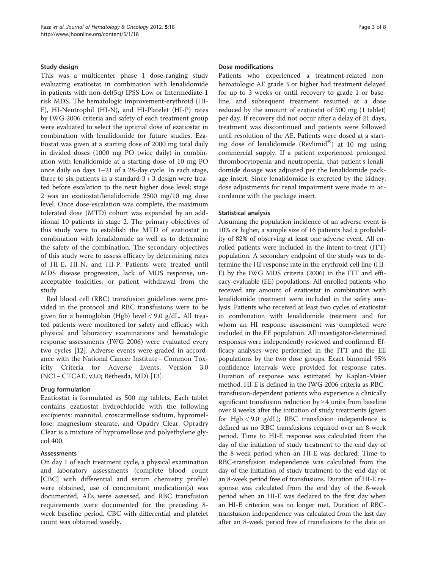# Study design

This was a multicenter phase 1 dose-ranging study evaluating ezatiostat in combination with lenalidomide in patients with non-del(5q) IPSS Low or Intermediate-1 risk MDS. The hematologic improvement-erythroid (HI-E), HI-Neutrophil (HI-N), and HI-Platelet (HI-P) rates by IWG 2006 criteria and safety of each treatment group were evaluated to select the optimal dose of ezatiostat in combination with lenalidomide for future studies. Ezatiostat was given at a starting dose of 2000 mg total daily in divided doses (1000 mg PO twice daily) in combination with lenalidomide at a starting dose of 10 mg PO once daily on days 1–21 of a 28-day cycle. In each stage, three to six patients in a standard  $3 + 3$  design were treated before escalation to the next higher dose level; stage 2 was an ezatiostat/lenalidomide 2500 mg/10 mg dose level. Once dose-escalation was complete, the maximum tolerated dose (MTD) cohort was expanded by an additional 10 patients in stage 2. The primary objectives of this study were to establish the MTD of ezatiostat in combination with lenalidomide as well as to determine the safety of the combination. The secondary objectives of this study were to assess efficacy by determining rates of HI-E, HI-N, and HI-P. Patients were treated until MDS disease progression, lack of MDS response, unacceptable toxicities, or patient withdrawal from the study.

Red blood cell (RBC) transfusion guidelines were provided in the protocol and RBC transfusions were to be given for a hemoglobin (Hgb) level  $<$  9.0 g/dL. All treated patients were monitored for safety and efficacy with physical and laboratory examinations and hematologic response assessments (IWG 2006) were evaluated every two cycles [[12\]](#page-7-0). Adverse events were graded in accordance with the National Cancer Institute −Common Toxicity Criteria for Adverse Events, Version 3.0 (NCI −CTCAE, v3.0; Bethesda, MD) [\[13\]](#page-7-0).

### Drug formulation

Ezatiostat is formulated as 500 mg tablets. Each tablet contains ezatiostat hydrochloride with the following excipients: mannitol, croscarmellose sodium, hypromellose, magnesium stearate, and Opadry Clear. Opradry Clear is a mixture of hypromellose and polyethylene glycol 400.

### Assessments

On day 1 of each treatment cycle, a physical examination and laboratory assessments (complete blood count [CBC] with differential and serum chemistry profile) were obtained, use of concomitant medication(s) was documented, AEs were assessed, and RBC transfusion requirements were documented for the preceding 8 week baseline period. CBC with differential and platelet count was obtained weekly.

#### Dose modifications

Patients who experienced a treatment-related nonhematologic AE grade 3 or higher had treatment delayed for up to 3 weeks or until recovery to grade 1 or baseline, and subsequent treatment resumed at a dose reduced by the amount of ezatiostat of 500 mg (1 tablet) per day. If recovery did not occur after a delay of 21 days, treatment was discontinued and patients were followed until resolution of the AE. Patients were dosed at a starting dose of lenalidomide (Revlimid®) at 10 mg using commercial supply. If a patient experienced prolonged thrombocytopenia and neutropenia, that patient's lenalidomide dosage was adjusted per the lenalidomide package insert. Since lenalidomide is excreted by the kidney, dose adjustments for renal impairment were made in accordance with the package insert.

# Statistical analysis

Assuming the population incidence of an adverse event is 10% or higher, a sample size of 16 patients had a probability of 82% of observing at least one adverse event. All enrolled patients were included in the intent-to-treat (ITT) population. A secondary endpoint of the study was to determine the HI response rate in the erythroid cell line (HI-E) by the IWG MDS criteria (2006) in the ITT and efficacy-evaluable (EE) populations. All enrolled patients who received any amount of ezatiostat in combination with lenalidomide treatment were included in the safety analysis. Patients who received at least two cycles of ezatiostat in combination with lenalidomide treatment and for whom an HI response assessment was completed were included in the EE population. All investigator-determined responses were independently reviewed and confirmed. Efficacy analyses were performed in the ITT and the EE populations by the two dose groups. Exact binomial 95% confidence intervals were provided for response rates. Duration of response was estimated by Kaplan-Meier method. HI-E is defined in the IWG 2006 criteria as RBCtransfusion-dependent patients who experience a clinically significant transfusion reduction by  $\geq 4$  units from baseline over 8 weeks after the initiation of study treatments (given for Hgb < 9.0 g/dL); RBC transfusion independence is defined as no RBC transfusions required over an 8-week period. Time to HI-E response was calculated from the day of the initiation of study treatment to the end day of the 8-week period when an HI-E was declared. Time to RBC-transfusion independence was calculated from the day of the initiation of study treatment to the end day of an 8-week period free of transfusions. Duration of HI-E response was calculated from the end day of the 8-week period when an HI-E was declared to the first day when an HI-E criterion was no longer met. Duration of RBCtransfusion independence was calculated from the last day after an 8-week period free of transfusions to the date an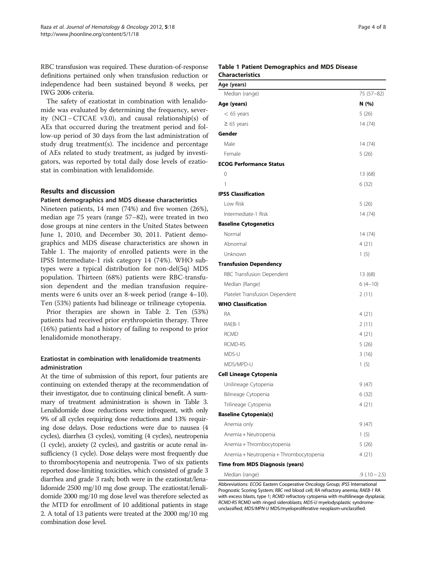RBC transfusion was required. These duration-of-response definitions pertained only when transfusion reduction or independence had been sustained beyond 8 weeks, per IWG 2006 criteria.

The safety of ezatiostat in combination with lenalidomide was evaluated by determining the frequency, severity (NCI – CTCAE v3.0), and causal relationship(s) of AEs that occurred during the treatment period and follow-up period of 30 days from the last administration of study drug treatment(s). The incidence and percentage of AEs related to study treatment, as judged by investigators, was reported by total daily dose levels of ezatiostat in combination with lenalidomide.

# Results and discussion

### Patient demographics and MDS disease characteristics

Nineteen patients, 14 men (74%) and five women (26%), median age 75 years (range 57–82), were treated in two dose groups at nine centers in the United States between June 1, 2010, and December 30, 2011. Patient demographics and MDS disease characteristics are shown in Table 1. The majority of enrolled patients were in the IPSS Intermediate-1 risk category 14 (74%). WHO subtypes were a typical distribution for non-del(5q) MDS population. Thirteen (68%) patients were RBC-transfusion dependent and the median transfusion requirements were 6 units over an 8-week period (range 4–10). Ten (53%) patients had bilineage or trilineage cytopenia.

Prior therapies are shown in Table [2.](#page-4-0) Ten (53%) patients had received prior erythropoietin therapy. Three (16%) patients had a history of failing to respond to prior lenalidomide monotherapy.

# Ezatiostat in combination with lenalidomide treatments administration

At the time of submission of this report, four patients are continuing on extended therapy at the recommendation of their investigator, due to continuing clinical benefit. A summary of treatment administration is shown in Table [3](#page-4-0). Lenalidomide dose reductions were infrequent, with only 9% of all cycles requiring dose reductions and 13% requiring dose delays. Dose reductions were due to nausea (4 cycles), diarrhea (3 cycles), vomiting (4 cycles), neutropenia (1 cycle), anxiety (2 cycles), and gastritis or acute renal insufficiency (1 cycle). Dose delays were most frequently due to thrombocytopenia and neutropenia. Two of six patients reported dose-limiting toxicities, which consisted of grade 3 diarrhea and grade 3 rash; both were in the ezatiostat/lenalidomide 2500 mg/10 mg dose group. The ezatiostat/lenalidomide 2000 mg/10 mg dose level was therefore selected as the MTD for enrollment of 10 additional patients in stage 2. A total of 13 patients were treated at the 2000 mg/10 mg combination dose level.

# Table 1 Patient Demographics and MDS Disease Characteristics

| Age (years)                             |            |
|-----------------------------------------|------------|
| Median (range)                          | 75 (57-82) |
| Age (years)                             | N (%)      |
| $<$ 65 years                            | 5(26)      |
| $\geq 65$ years                         | 14(74)     |
| Gender                                  |            |
| Male                                    | 14 (74)    |
| Female                                  | 5 (26)     |
| <b>ECOG Performance Status</b>          |            |
| 0                                       | 13 (68)    |
| 1                                       | 6 (32)     |
| <b>IPSS Classification</b>              |            |
| Low Risk                                | 5(26)      |
| Intermediate-1 Risk                     | 14 (74)    |
| <b>Baseline Cytogenetics</b>            |            |
| Normal                                  | 14 (74)    |
| Abnormal                                | 4(21)      |
| Unknown                                 | 1(5)       |
| <b>Transfusion Dependency</b>           |            |
| RBC Transfusion Dependent               | 13 (68)    |
| Median (Range)                          | $6(4-10)$  |
| Platelet Transfusion Dependent          | 2 (11)     |
| <b>WHO Classification</b>               |            |
| <b>RA</b>                               | 4 (21)     |
| RAEB-1                                  | 2(11)      |
| <b>RCMD</b>                             | 4 (21)     |
| RCMD-RS                                 | 5(26)      |
| MDS-U                                   | 3(16)      |
| MDS/MPD-U                               | 1(5)       |
| <b>Cell Lineage Cytopenia</b>           |            |
| Unilineage Cytopenia                    | 9(47)      |
| Bilineage Cytopenia                     | 6(32)      |
| Trilineage Cytopenia                    | 4 (21)     |
| <b>Baseline Cytopenia(s)</b>            |            |
| Anemia only                             | 9 (47)     |
| Anemia + Neutropenia                    | 1(5)       |
| Anemia + Thrombocytopenia               | 5 (26)     |
| Anemia + Neutropenia + Thrombocytopenia | 4 (21)     |
| Time from MDS Diagnosis (years)         |            |

Median (range) .9 (.10 − 2.5)

Abbreviations: ECOG Eastern Cooperative Oncology Group; IPSS International Prognostic Scoring System; RBC red blood cell; RA refractory anemia; RAEB-1 RA with excess blasts, type 1; RCMD refractory cytopenia with multilineage dysplasia; RCMD-RS RCMD with ringed sideroblasts; MDS-U myelodysplastic syndromeunclassified; MDS/MPN-U MDS/myeloproliferative neoplasm-unclassified.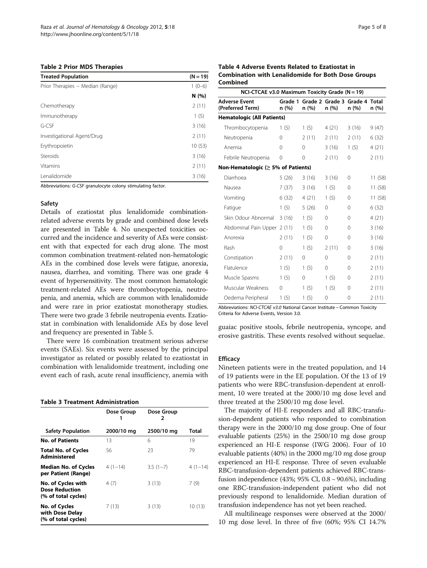#### <span id="page-4-0"></span>Table 2 Prior MDS Therapies

| <b>Treated Population</b>        | $(N = 19)$ |
|----------------------------------|------------|
| Prior Therapies - Median (Range) | $1(0-6)$   |
|                                  | N (%)      |
| Chemotherapy                     | 2(11)      |
| Immunotherapy                    | 1(5)       |
| G-CSF                            | 3(16)      |
| Investigational Agent/Drug       | 2(11)      |
| Erythropoietin                   | 10(53)     |
| Steroids                         | 3(16)      |
| Vitamins                         | 2(11)      |
| Lenalidomide                     | 3(16)      |

Abbreviations: G-CSF granulocyte colony stimulating factor.

#### Safety

Details of ezatiostat plus lenalidomide combinationrelated adverse events by grade and combined dose levels are presented in Table 4. No unexpected toxicities occurred and the incidence and severity of AEs were consistent with that expected for each drug alone. The most common combination treatment-related non-hematologic AEs in the combined dose levels were fatigue, anorexia, nausea, diarrhea, and vomiting. There was one grade 4 event of hypersensitivity. The most common hematologic treatment-related AEs were thrombocytopenia, neutropenia, and anemia, which are common with lenalidomide and were rare in prior ezatiostat monotherapy studies. There were two grade 3 febrile neutropenia events. Ezatiostat in combination with lenalidomide AEs by dose level and frequency are presented in Table [5.](#page-5-0)

There were 16 combination treatment serious adverse events (SAEs). Six events were assessed by the principal investigator as related or possibly related to ezatiostat in combination with lenalidomide treatment, including one event each of rash, acute renal insufficiency, anemia with

#### Table 3 Treatment Administration

|                                                                    | Dose Group | Dose Group<br>2 |           |
|--------------------------------------------------------------------|------------|-----------------|-----------|
| <b>Safety Population</b>                                           | 2000/10 mg | 2500/10 mg      | Total     |
| <b>No. of Patients</b>                                             | 13         | 6               | 19        |
| <b>Total No. of Cycles</b><br>Administered                         | 56         | 23              | 79        |
| <b>Median No. of Cycles</b><br>per Patient (Range)                 | $4(1-14)$  | $3.5(1 - 7)$    | $4(1-14)$ |
| No. of Cycles with<br><b>Dose Reduction</b><br>(% of total cycles) | 4(7)       | 3(13)           | 7 (9)     |
| No. of Cycles<br>with Dose Delay<br>(% of total cycles)            | 7(13)      | 3(13)           | 10(13)    |

# Table 4 Adverse Events Related to Ezatiostat in Combination with Lenalidomide for Both Dose Groups Combined

| NCI-CTCAE v3.0 Maximum Toxicity Grade ( $N = 19$ ) |          |                                                |             |          |         |
|----------------------------------------------------|----------|------------------------------------------------|-------------|----------|---------|
| <b>Adverse Event</b><br>(Preferred Term)           | n (%)    | Grade 1 Grade 2 Grade 3 Grade 4 Total<br>n (%) | n (%)       | n (%)    | n (%)   |
| <b>Hematologic (All Patients)</b>                  |          |                                                |             |          |         |
| Thrombocytopenia                                   | 1(5)     | 1(5)                                           | 4(21)       | 3(16)    | 9(47)   |
| Neutropenia                                        | $\Omega$ | 2(11)                                          | 2(11)       | 2(11)    | 6(32)   |
| Anemia                                             | 0        | 0                                              | 3(16)       | 1(5)     | 4(21)   |
| Febrile Neutropenia                                | 0        | 0                                              | 2(11)       | 0        | 2(11)   |
| Non-Hematologic (≥ 5% of Patients)                 |          |                                                |             |          |         |
| Diarrhoea                                          | 5(26)    | 3(16)                                          | 3(16)       | $\Omega$ | 11 (58) |
| Nausea                                             | 7(37)    | 3(16)                                          | 1(5)        | $\Omega$ | 11 (58) |
| Vomiting                                           | 6(32)    | 4(21)                                          | 1(5)        | $\Omega$ | 11 (58) |
| Fatigue                                            | 1(5)     | 5(26)                                          | $\Omega$    | $\Omega$ | 6(32)   |
| Skin Odour Abnormal                                | 3(16)    | 1(5)                                           | $\Omega$    | $\Omega$ | 4(21)   |
| Abdominal Pain Upper 2 (11)                        |          | 1(5)                                           | $\Omega$    | $\Omega$ | 3(16)   |
| Anorexia                                           | 2(11)    | 1(5)                                           | $\mathbf 0$ | $\Omega$ | 3(16)   |
| Rash                                               | $\Omega$ | 1(5)                                           | 2(11)       | $\Omega$ | 3(16)   |
| Constipation                                       | 2(11)    | 0                                              | $\Omega$    | $\Omega$ | 2(11)   |
| Flatulence                                         | 1(5)     | 1(5)                                           | $\mathbf 0$ | $\Omega$ | 2(11)   |
| Muscle Spasms                                      | 1(5)     | 0                                              | 1(5)        | $\Omega$ | 2(11)   |
| Muscular Weakness                                  | $\Omega$ | 1(5)                                           | 1(5)        | $\Omega$ | 2(11)   |
| Oedema Peripheral                                  | 1(5)     | 1(5)                                           | 0           | $\Omega$ | 2(11)   |

Abbreviations: NCI-CTCAE v3.0 National Cancer Institute − Common Toxicity Criteria for Adverse Events, Version 3.0.

guaiac positive stools, febrile neutropenia, syncope, and erosive gastritis. These events resolved without sequelae.

# **Efficacy**

Nineteen patients were in the treated population, and 14 of 19 patients were in the EE population. Of the 13 of 19 patients who were RBC-transfusion-dependent at enrollment, 10 were treated at the 2000/10 mg dose level and three treated at the 2500/10 mg dose level.

The majority of HI-E responders and all RBC-transfusion-dependent patients who responded to combination therapy were in the 2000/10 mg dose group. One of four evaluable patients (25%) in the 2500/10 mg dose group experienced an HI-E response (IWG 2006). Four of 10 evaluable patients (40%) in the 2000 mg/10 mg dose group experienced an HI-E response. Three of seven evaluable RBC-transfusion-dependent patients achieved RBC-transfusion independence (43%; 95% CI, 0.8 − 90.6%), including one RBC-transfusion-independent patient who did not previously respond to lenalidomide. Median duration of transfusion independence has not yet been reached.

All multilineage responses were observed at the 2000/ 10 mg dose level. In three of five (60%; 95% CI 14.7%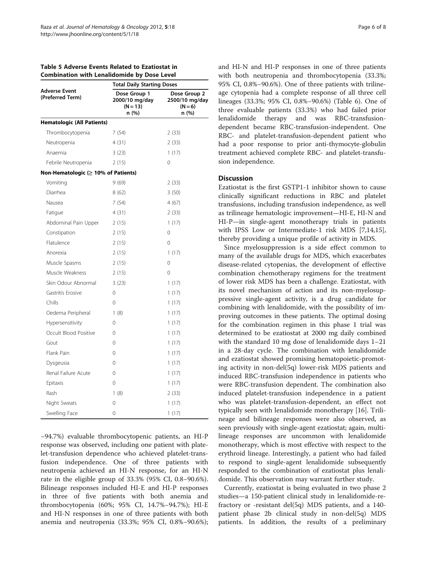<span id="page-5-0"></span>

| Table 5 Adverse Events Related to Ezatiostat in    |
|----------------------------------------------------|
| <b>Combination with Lenalidomide by Dose Level</b> |

|                                           | <b>Total Daily Starting Doses</b>                     |                                                      |  |  |
|-------------------------------------------|-------------------------------------------------------|------------------------------------------------------|--|--|
| <b>Adverse Event</b><br>(Preferred Term)  | Dose Group 1<br>2000/10 mg/day<br>$(N = 13)$<br>n (%) | Dose Group 2<br>2500/10 mg/day<br>$(N = 6)$<br>n (%) |  |  |
| <b>Hematologic (All Patients)</b>         |                                                       |                                                      |  |  |
| Thrombocytopenia                          | 7(54)                                                 | 2 (33)                                               |  |  |
| Neutropenia                               | 4(31)                                                 | 2(33)                                                |  |  |
| Anaemia                                   | 3(23)                                                 | 1(17)                                                |  |  |
| Febrile Neutropenia                       | 2(15)                                                 | 0                                                    |  |  |
| Non-Hematologic ( $\geq$ 10% of Patients) |                                                       |                                                      |  |  |
| Vomiting                                  | 9(69)                                                 | 2(33)                                                |  |  |
| Diarrhea                                  | 8 (62)                                                | 3(50)                                                |  |  |
| Nausea                                    | 7(54)                                                 | 4(67)                                                |  |  |
| Fatigue                                   | 4(31)                                                 | 2(33)                                                |  |  |
| Abdominal Pain Upper                      | 2 (15)                                                | 1(17)                                                |  |  |
| Constipation                              | 2(15)                                                 | 0                                                    |  |  |
| Flatulence                                | 2(15)                                                 | $\Omega$                                             |  |  |
| Anorexia                                  | 2(15)                                                 | 1(17)                                                |  |  |
| Muscle Spasms                             | 2(15)                                                 | 0                                                    |  |  |
| Muscle Weakness                           | 2(15)                                                 | $\Omega$                                             |  |  |
| Skin Odour Abnormal                       | 3(23)                                                 | 1(17)                                                |  |  |
| Gastritis Erosive                         | 0                                                     | 1(17)                                                |  |  |
| Chills                                    | 0                                                     | 1(17)                                                |  |  |
| Oedema Peripheral                         | 1(8)                                                  | 1(17)                                                |  |  |
| Hypersensitivity                          | 0                                                     | 1(17)                                                |  |  |
| Occult Blood Positive                     | 0                                                     | 1(17)                                                |  |  |
| Gout                                      | 0                                                     | 1(17)                                                |  |  |
| Flank Pain                                | 0                                                     | 1(17)                                                |  |  |
| Dysgeusia                                 | 0                                                     | 1(17)                                                |  |  |
| Renal Failure Acute                       | 0                                                     | 1(17)                                                |  |  |
| Epitaxis                                  | 0                                                     | 1(17)                                                |  |  |
| Rash                                      | 1(8)                                                  | 2 (33)                                               |  |  |
| Night Sweats                              | 0                                                     | 1(17)                                                |  |  |
| Swelling Face                             | 0                                                     | 1 (17)                                               |  |  |

−94.7%) evaluable thrombocytopenic patients, an HI-P response was observed, including one patient with platelet-transfusion dependence who achieved platelet-transfusion independence. One of three patients with neutropenia achieved an HI-N response, for an HI-N rate in the eligible group of 33.3% (95% CI, 0.8−90.6%). Bilineage responses included HI-E and HI-P responses in three of five patients with both anemia and thrombocytopenia (60%; 95% CI, 14.7%−94.7%); HI-E and HI-N responses in one of three patients with both anemia and neutropenia (33.3%; 95% CI, 0.8%−90.6%); and HI-N and HI-P responses in one of three patients with both neutropenia and thrombocytopenia (33.3%; 95% CI, 0.8%−90.6%). One of three patients with trilineage cytopenia had a complete response of all three cell lineages (33.3%; 95% CI, 0.8%−90.6%) (Table [6\)](#page-6-0). One of three evaluable patients (33.3%) who had failed prior lenalidomide therapy and was RBC-transfusiondependent became RBC-transfusion-independent. One RBC- and platelet-transfusion-dependent patient who had a poor response to prior anti-thymocyte-globulin treatment achieved complete RBC- and platelet-transfusion independence.

# **Discussion**

Ezatiostat is the first GSTP1-1 inhibitor shown to cause clinically significant reductions in RBC and platelet transfusions, including transfusion independence, as well as trilineage hematologic improvement—HI-E, HI-N and HI-P—in single-agent monotherapy trials in patients with IPSS Low or Intermediate-1 risk MDS [\[7,14,15](#page-7-0)], thereby providing a unique profile of activity in MDS.

Since myelosuppression is a side effect common to many of the available drugs for MDS, which exacerbates disease-related cytopenias, the development of effective combination chemotherapy regimens for the treatment of lower risk MDS has been a challenge. Ezatiostat, with its novel mechanism of action and its non-myelosuppressive single-agent activity, is a drug candidate for combining with lenalidomide, with the possibility of improving outcomes in these patients. The optimal dosing for the combination regimen in this phase 1 trial was determined to be ezatiostat at 2000 mg daily combined with the standard 10 mg dose of lenalidomide days 1–21 in a 28-day cycle. The combination with lenalidomide and ezatiostat showed promising hematopoietic-promoting activity in non-del(5q) lower-risk MDS patients and induced RBC-transfusion independence in patients who were RBC-transfusion dependent. The combination also induced platelet-transfusion independence in a patient who was platelet-transfusion-dependent, an effect not typically seen with lenalidomide monotherapy [\[16\]](#page-7-0). Trilineage and bilineage responses were also observed, as seen previously with single-agent ezatiostat; again, multilineage responses are uncommon with lenalidomide monotherapy, which is most effective with respect to the erythroid lineage. Interestingly, a patient who had failed to respond to single-agent lenalidomide subsequently responded to the combination of ezatiostat plus lenalidomide. This observation may warrant further study.

Currently, ezatiostat is being evaluated in two phase 2 studies—a 150-patient clinical study in lenalidomide-refractory or -resistant del(5q) MDS patients, and a 140 patient phase 2b clinical study in non-del(5q) MDS patients. In addition, the results of a preliminary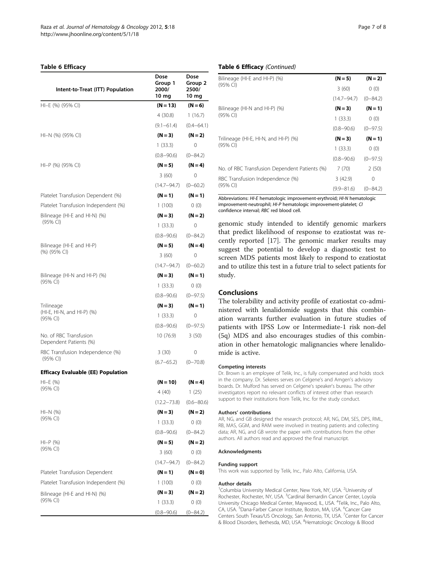#### <span id="page-6-0"></span>Table 6 Efficacy

| Intent-to-Treat (ITT) Population                 | Dose<br>Group 1<br>2000/<br>10 <sub>mg</sub> | Dose<br>Group 2<br>2500/<br>10 mg |
|--------------------------------------------------|----------------------------------------------|-----------------------------------|
| HI-E (%) (95% CI)                                | $(N = 13)$                                   | $(N = 6)$                         |
|                                                  | 4(30.8)                                      | 1(16.7)                           |
|                                                  | $(9.1 - 61.4)$                               | $(0.4 - 64.1)$                    |
| $HI-N$ (%) (95% CI)                              | $(N = 3)$                                    | $(N = 2)$                         |
|                                                  | 1(33.3)                                      | 0                                 |
|                                                  | $(0.8 - 90.6)$                               | $(0 - 84.2)$                      |
| HI-P (%) (95% CI)                                | $(N = 5)$                                    | $(N = 4)$                         |
|                                                  | 3(60)                                        | 0                                 |
|                                                  | $(14.7 - 94.7)$                              | $(0 - 60.2)$                      |
| Platelet Transfusion Dependent (%)               | $(N = 1)$                                    | $(N = 1)$                         |
| Platelet Transfusion Independent (%)             | 1(100)                                       | 0(0)                              |
| Bilineage (HI-E and HI-N) (%)                    | $(N = 3)$                                    | $(N = 2)$                         |
| (95% CI)                                         | 1(33.3)                                      | 0                                 |
|                                                  | $(0.8 - 90.6)$                               | $(0 - 84.2)$                      |
| Bilineage (HI-E and HI-P)                        | $(N = 5)$                                    | $(N = 4)$                         |
| (%) (95% CI)                                     | 3(60)                                        | 0                                 |
|                                                  | $(14.7 - 94.7)$                              | $(0 - 60.2)$                      |
| Bilineage (HI-N and HI-P) (%)                    | $(N = 3)$                                    | $(N = 1)$                         |
| (95% CI)                                         | 1(33.3)                                      | 0(0)                              |
|                                                  | $(0.8 - 90.6)$                               | $(0-97.5)$                        |
| Trilineage                                       | $(N = 3)$                                    | $(N = 1)$                         |
| (HI-E, HI-N, and HI-P) (%)<br>(95% CI)           | 1(33.3)                                      | 0                                 |
|                                                  | $(0.8 - 90.6)$                               | $(0-97.5)$                        |
| No. of RBC Transfusion<br>Dependent Patients (%) | 10 (76.9)                                    | 3(50)                             |
| RBC Transfusion Independence (%)                 | 3(30)                                        | 0                                 |
| $(95%$ CI)                                       | $(6.7 - 65.2)$                               | $(0 - 70.8)$                      |
| <b>Efficacy Evaluable (EE) Population</b>        |                                              |                                   |
| $HI-E (%)$                                       | $(N = 10)$                                   | $(N = 4)$                         |
| (95% CI)                                         | 4(40)                                        | 1(25)                             |
|                                                  | $(12.2 - 73.8)$                              | $(0.6 - 80.6)$                    |
| $HI-N$ (%)                                       | $(N = 3)$                                    | $(N = 2)$                         |
| (95% CI)                                         | 1(33.3)                                      | 0(0)                              |
|                                                  | $(0.8 - 90.6)$                               | $(0 - 84.2)$                      |
| $HI-P (%)$                                       | $(N = 5)$                                    | (N = 2)                           |
| (95% CI)                                         | 3(60)                                        | 0(0)                              |
|                                                  | $(14.7 - 94.7)$                              | $(0 - 84.2)$                      |
| Platelet Transfusion Dependent                   | $(N = 1)$                                    | $(N=0)$                           |
| Platelet Transfusion Independent (%)             | 1(100)                                       | 0(0)                              |
| Bilineage (HI-E and HI-N) (%)                    | $(N = 3)$                                    | (N = 2)                           |
| (95% CI)                                         | 1(33.3)                                      | 0(0)                              |
|                                                  | $(0.8 - 90.6)$                               | $(0 - 84.2)$                      |

# Table 6 Efficacy (Continued)

| Bilineage (HI-E and HI-P) (%)                 | $(N = 5)$       | $(N = 2)$    |
|-----------------------------------------------|-----------------|--------------|
| (95% CI)                                      | 3(60)           | 0(0)         |
|                                               | $(14.7 - 94.7)$ | $(0 - 84.2)$ |
| Bilineage (HI-N and HI-P) (%)                 | $(N = 3)$       | $(N=1)$      |
| $(95%$ CI)                                    | 1(33.3)         | 0(0)         |
|                                               | $(0.8 - 90.6)$  | $(0-97.5)$   |
| Trilineage (HI-E, HI-N, and HI-P) (%)         | $(N = 3)$       | $(N=1)$      |
| $(95%$ CI)                                    | 1(33.3)         | 0(0)         |
|                                               | $(0.8 - 90.6)$  | $(0-97.5)$   |
| No. of RBC Transfusion Dependent Patients (%) | 7(70)           | 2(50)        |
| RBC Transfusion Independence (%)              | 3(42.9)         | 0            |
| $(95%$ CI)                                    | $(9.9 - 81.6)$  | $(0 - 84.2)$ |

Abbreviations: HI-E hematologic improvement-erythroid; HI-N hematologic improvement-neutrophil; HI-P hematologic improvement-platelet; CI confidence interval; RBC red blood cell.

genomic study intended to identify genomic markers that predict likelihood of response to ezatiostat was recently reported [\[17](#page-7-0)]. The genomic marker results may suggest the potential to develop a diagnostic test to screen MDS patients most likely to respond to ezatiostat and to utilize this test in a future trial to select patients for study.

# Conclusions

The tolerability and activity profile of ezatiostat co-administered with lenalidomide suggests that this combination warrants further evaluation in future studies of patients with IPSS Low or Intermediate-1 risk non-del (5q) MDS and also encourages studies of this combination in other hematologic malignancies where lenalidomide is active.

#### Competing interests

Dr. Brown is an employee of Telik, Inc., is fully compensated and holds stock in the company. Dr. Sekeres serves on Celgene's and Amgen's advisory boards. Dr. Mulford has served on Celgene's speaker's bureau. The other investigators report no relevant conflicts of interest other than research support to their institutions from Telik, Inc. for the study conduct.

#### Authors' contributions

AR, NG, and GB designed the research protocol; AR, NG, DM, SES, DPS, RML, RB, MAS, GGM, and RAM were involved in treating patients and collecting data; AR, NG, and GB wrote the paper with contributions from the other authors. All authors read and approved the final manuscript.

#### Acknowledgments

#### Funding support

This work was supported by Telik, Inc., Palo Alto, California, USA.

#### Author details

<sup>1</sup>Columbia University Medical Center, New York, NY, USA. <sup>2</sup>University of Rochester, Rochester, NY, USA. <sup>3</sup>Cardinal Bernardin Cancer Center, Loyola University Chicago Medical Center, Maywood, IL, USA. <sup>4</sup>Telik, Inc., Palo Alto CA, USA. <sup>5</sup>Dana-Farber Cancer Institute, Boston, MA, USA. <sup>6</sup>Cancer Care Centers South Texas/US Oncology, San Antonio, TX, USA. <sup>7</sup>Center for Cancer & Blood Disorders, Bethesda, MD, USA. <sup>8</sup>Hematologic Oncology & Blood